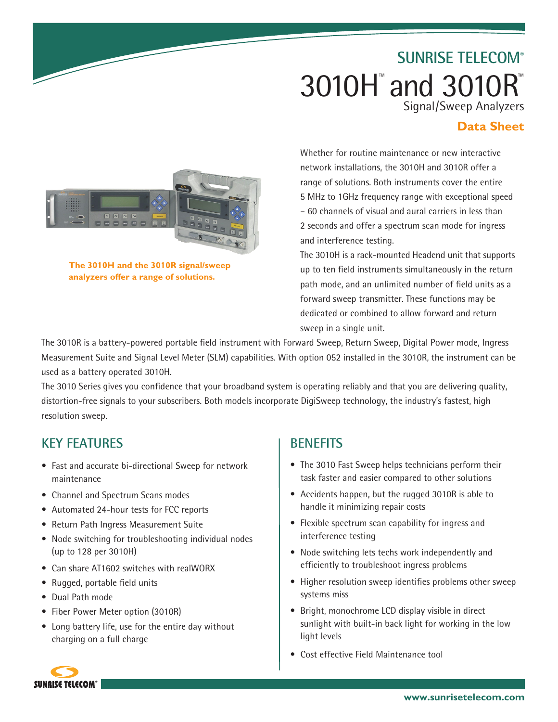# **SUNRISE TELECOM®** 3010H™ and 3010R™ Signal/Sweep Analyzers

## **Data Sheet**



**The 3010H and the 3010R signal/sweep analyzers offer a range of solutions.**

Whether for routine maintenance or new interactive network installations, the 3010H and 3010R offer a range of solutions. Both instruments cover the entire 5 MHz to 1GHz frequency range with exceptional speed – 60 channels of visual and aural carriers in less than 2 seconds and offer a spectrum scan mode for ingress and interference testing.

The 3010H is a rack-mounted Headend unit that supports up to ten field instruments simultaneously in the return path mode, and an unlimited number of field units as a forward sweep transmitter. These functions may be dedicated or combined to allow forward and return sweep in a single unit.

The 3010R is a battery-powered portable field instrument with Forward Sweep, Return Sweep, Digital Power mode, Ingress Measurement Suite and Signal Level Meter (SLM) capabilities. With option 052 installed in the 3010R, the instrument can be used as a battery operated 3010H.

The 3010 Series gives you confidence that your broadband system is operating reliably and that you are delivering quality, distortion-free signals to your subscribers. Both models incorporate DigiSweep technology, the industry's fastest, high resolution sweep.

# **Key features**

- Fast and accurate bi-directional Sweep for network maintenance
- Channel and Spectrum Scans modes
- Automated 24-hour tests for FCC reports
- Return Path Ingress Measurement Suite
- Node switching for troubleshooting individual nodes (up to 128 per 3010H)
- Can share AT1602 switches with realWORX
- Rugged, portable field units
- • Dual Path mode
- Fiber Power Meter option (3010R)
- Long battery life, use for the entire day without charging on a full charge

# **benefits**

- The 3010 Fast Sweep helps technicians perform their task faster and easier compared to other solutions
- Accidents happen, but the rugged 3010R is able to handle it minimizing repair costs
- Flexible spectrum scan capability for ingress and interference testing
- Node switching lets techs work independently and efficiently to troubleshoot ingress problems
- Higher resolution sweep identifies problems other sweep systems miss
- Bright, monochrome LCD display visible in direct sunlight with built-in back light for working in the low light levels
- Cost effective Field Maintenance tool